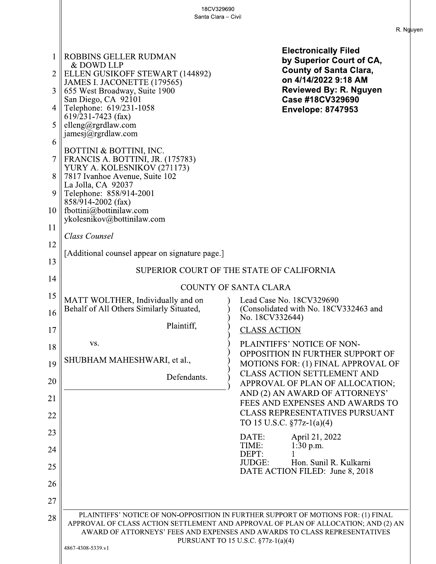18CV329690 Santa Clara - Civil **Electronically Filed** 1 ROBBINS GELLER RUDMAN by Superior Court of CA, & DOWD LLP **County of Santa Clara,**  $\overline{2}$ ELLEN GUSIKOFF STEWART (144892) on 4/14/2022 9:18 AM JAMES I. JACONETTE (179565) **Reviewed By: R. Nguyen**  $3 \parallel 655$  West Broadway, Suite 1900 San Diego, CA 92101 Case #18CV329690 Telephone: 619/231-1058  $\overline{4}$ **Envelope: 8747953**  $619/231 - 7423$  (fax) 5 elleng@rgrdlaw.com  $\text{iames}(\bar{a})$ rgrdlaw.com 6 BOTTINI & BOTTINI, INC. FRANCIS A. BOTTINI, JR. (175783)  $7<sup>1</sup>$ YURY A. KOLESNIKOV (271173) 8 7817 Ivanhoe Avenue, Suite 102 La Jolla, CA 92037 Telephone: 858/914-2001 9  $858/914-2002$  (fax) fbottini@bottinilaw.com  $10<sup>1</sup>$ ykolesnikov@bottinilaw.com 11 Class Counsel 12 [Additional counsel appear on signature page.] 13 SUPERIOR COURT OF THE STATE OF CALIFORNIA 14 COUNTY OF SANTA CLARA 15 Lead Case No. 18CV329690 MATT WOLTHER, Individually and on Behalf of All Others Similarly Situated, (Consolidated with No. 18CV332463 and 16 No. 18CV332644) Plaintiff.  $17$ **CLASS ACTION** VS. PLAINTIFFS' NOTICE OF NON-18 OPPOSITION IN FURTHER SUPPORT OF SHUBHAM MAHESHWARI, et al., 19 MOTIONS FOR: (1) FINAL APPROVAL OF **CLASS ACTION SETTLEMENT AND** Defendants. 20 APPROVAL OF PLAN OF ALLOCATION; AND (2) AN AWARD OF ATTORNEYS' 21 FEES AND EXPENSES AND AWARDS TO **CLASS REPRESENTATIVES PURSUANT** 22 TO 15 U.S.C.  $\S 77z-1(a)(4)$ 23  $DATE:$ April 21, 2022 TIME:  $1:30$  p.m. 24 DEPT:  $\mathbf{1}$ JUDGE: Hon. Sunil R. Kulkarni 25 DATE ACTION FILED: June 8, 2018 26 27 PLAINTIFFS' NOTICE OF NON-OPPOSITION IN FURTHER SUPPORT OF MOTIONS FOR: (1) FINAL 28 APPROVAL OF CLASS ACTION SETTLEMENT AND APPROVAL OF PLAN OF ALLOCATION; AND (2) AN AWARD OF ATTORNEYS' FEES AND EXPENSES AND AWARDS TO CLASS REPRESENTATIVES PURSUANT TO 15 U.S.C. §77z-1(a)(4) 4867-4308-5339.v1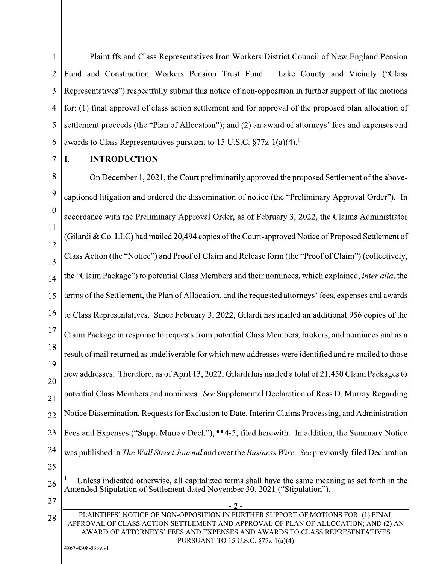$\mathbf{1}$ Plaintiffs and Class Representatives Iron Workers District Council of New England Pension  $\overline{2}$ Fund and Construction Workers Pension Trust Fund – Lake County and Vicinity ("Class") 3 Representatives") respectfully submit this notice of non-opposition in further support of the motions for: (1) final approval of class action settlement and for approval of the proposed plan allocation of 4 5 settlement proceeds (the "Plan of Allocation"); and (2) an award of attorneys' fees and expenses and awards to Class Representatives pursuant to 15 U.S.C.  $\S 77z-1(a)(4)$ <sup>1</sup> 6

**INTRODUCTION**  $\overline{7}$ L.

8 On December 1, 2021, the Court preliminarily approved the proposed Settlement of the above-9 captioned litigation and ordered the dissemination of notice (the "Preliminary Approval Order"). In 10 accordance with the Preliminary Approval Order, as of February 3, 2022, the Claims Administrator 11 (Gilardi & Co. LLC) had mailed 20,494 copies of the Court-approved Notice of Proposed Settlement of 12 Class Action (the "Notice") and Proof of Claim and Release form (the "Proof of Claim") (collectively, 13 the "Claim Package") to potential Class Members and their nominees, which explained, *inter alia*, the 14 terms of the Settlement, the Plan of Allocation, and the requested attorneys' fees, expenses and awards 15 16 to Class Representatives. Since February 3, 2022, Gilardi has mailed an additional 956 copies of the  $17$ Claim Package in response to requests from potential Class Members, brokers, and nominees and as a 18 result of mail returned as undeliverable for which new addresses were identified and re-mailed to those 19 new addresses. Therefore, as of April 13, 2022, Gilardi has mailed a total of 21,450 Claim Packages to 20 potential Class Members and nominees. See Supplemental Declaration of Ross D. Murray Regarding 21 Notice Dissemination, Requests for Exclusion to Date, Interim Claims Processing, and Administration  $22$ 23 Fees and Expenses ("Supp. Murray Decl."),  $\P$ [4-5, filed herewith. In addition, the Summary Notice 24 was published in The Wall Street Journal and over the Business Wire. See previously-filed Declaration 25

 $27$ 

28

Unless indicated otherwise, all capitalized terms shall have the same meaning as set forth in the 26 Amended Stipulation of Settlement dated November 30, 2021 ("Stipulation").

 $-2$ PLAINTIFFS' NOTICE OF NON-OPPOSITION IN FURTHER SUPPORT OF MOTIONS FOR: (1) FINAL APPROVAL OF CLASS ACTION SETTLEMENT AND APPROVAL OF PLAN OF ALLOCATION: AND (2) AN AWARD OF ATTORNEYS' FEES AND EXPENSES AND AWARDS TO CLASS REPRESENTATIVES PURSUANT TO 15 U.S.C. §77z-1(a)(4)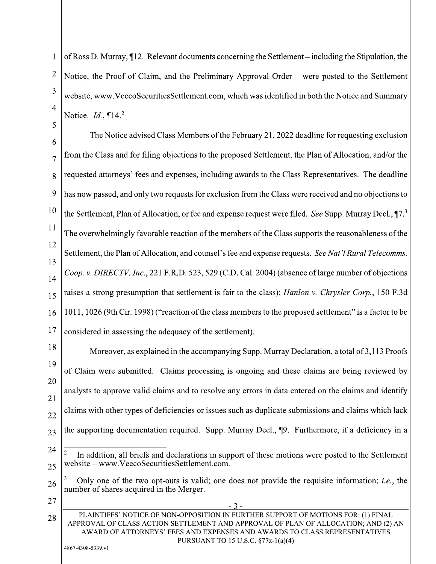of Ross D. Murray, 12. Relevant documents concerning the Settlement – including the Stipulation, the  $\mathbf{1}$  $\overline{2}$ Notice, the Proof of Claim, and the Preliminary Approval Order – were posted to the Settlement 3 website, www.VeecoSecuritiesSettlement.com, which was identified in both the Notice and Summary 4 Notice.  $Id.$ ,  $\P{14.2}$ 5

The Notice advised Class Members of the February 21, 2022 deadline for requesting exclusion 6 from the Class and for filing objections to the proposed Settlement, the Plan of Allocation, and/or the  $\overline{7}$ requested attorneys' fees and expenses, including awards to the Class Representatives. The deadline 8 9 has now passed, and only two requests for exclusion from the Class were received and no objections to 10 the Settlement, Plan of Allocation, or fee and expense request were filed. See Supp. Murray Decl.,  $\P$ 7.<sup>3</sup> 11 The overwhelmingly favorable reaction of the members of the Class supports the reasonableness of the 12 Settlement, the Plan of Allocation, and counsel's fee and expense requests. See Nat'l Rural Telecomms. 13 Coop. v. DIRECTV, Inc., 221 F.R.D. 523, 529 (C.D. Cal. 2004) (absence of large number of objections  $14$ raises a strong presumption that settlement is fair to the class); *Hanlon v. Chrysler Corp.*, 150 F.3d 15 1011, 1026 (9th Cir. 1998) ("reaction of the class members to the proposed settlement" is a factor to be 16 17 considered in assessing the adequacy of the settlement).

18 Moreover, as explained in the accompanying Supp. Murray Declaration, a total of 3,113 Proofs 19 of Claim were submitted. Claims processing is ongoing and these claims are being reviewed by 20 analysts to approve valid claims and to resolve any errors in data entered on the claims and identify 21 claims with other types of deficiencies or issues such as duplicate submissions and claims which lack  $22$ the supporting documentation required. Supp. Murray Decl., 19. Furthermore, if a deficiency in a 23

27

<sup>24</sup>  $\overline{c}$ In addition, all briefs and declarations in support of these motions were posted to the Settlement website – www.VeecoSecuritiesSettlement.com.  $25$ 

Only one of the two opt-outs is valid; one does not provide the requisite information; *i.e.*, the 26 number of shares acquired in the Merger.

PLAINTIFFS' NOTICE OF NON-OPPOSITION IN FURTHER SUPPORT OF MOTIONS FOR: (1) FINAL 28 APPROVAL OF CLASS ACTION SETTLEMENT AND APPROVAL OF PLAN OF ALLOCATION: AND (2) AN AWARD OF ATTORNEYS' FEES AND EXPENSES AND AWARDS TO CLASS REPRESENTATIVES PURSUANT TO 15 U.S.C. §77z-1(a)(4)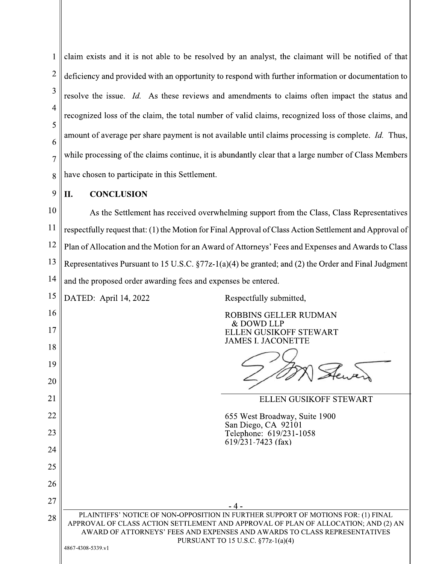| 1              | claim exists and it is not able to be resolved by an analyst, the claimant will be notified of that                                                                                                                        |  |  |
|----------------|----------------------------------------------------------------------------------------------------------------------------------------------------------------------------------------------------------------------------|--|--|
| $\overline{2}$ | deficiency and provided with an opportunity to respond with further information or documentation to                                                                                                                        |  |  |
| 3              | resolve the issue. Id. As these reviews and amendments to claims often impact the status and                                                                                                                               |  |  |
| 4              | recognized loss of the claim, the total number of valid claims, recognized loss of those claims, and                                                                                                                       |  |  |
| 5              | amount of average per share payment is not available until claims processing is complete. Id. Thus,                                                                                                                        |  |  |
| 6              | while processing of the claims continue, it is abundantly clear that a large number of Class Members                                                                                                                       |  |  |
| 7<br>8         | have chosen to participate in this Settlement.                                                                                                                                                                             |  |  |
| 9              |                                                                                                                                                                                                                            |  |  |
| 10             | <b>CONCLUSION</b><br>II.                                                                                                                                                                                                   |  |  |
| 11             | As the Settlement has received overwhelming support from the Class, Class Representatives<br>respectfully request that: (1) the Motion for Final Approval of Class Action Settlement and Approval of                       |  |  |
| 12             | Plan of Allocation and the Motion for an Award of Attorneys' Fees and Expenses and Awards to Class                                                                                                                         |  |  |
| 13             | Representatives Pursuant to 15 U.S.C. $\S77z-1(a)(4)$ be granted; and (2) the Order and Final Judgment                                                                                                                     |  |  |
| 14             | and the proposed order awarding fees and expenses be entered.                                                                                                                                                              |  |  |
| 15             | DATED: April 14, 2022<br>Respectfully submitted,                                                                                                                                                                           |  |  |
| 16             | ROBBINS GELLER RUDMAN                                                                                                                                                                                                      |  |  |
| 17             | & DOWD LLP<br>ELLEN GUSIKOFF STEWART                                                                                                                                                                                       |  |  |
| 18             | <b>JAMES I. JACONETTE</b>                                                                                                                                                                                                  |  |  |
| 19             |                                                                                                                                                                                                                            |  |  |
| 20             |                                                                                                                                                                                                                            |  |  |
| 21             | ELLEN GUSIKOFF STEWART                                                                                                                                                                                                     |  |  |
| 22             | 655 West Broadway, Suite 1900<br>San Diego, CA 92101                                                                                                                                                                       |  |  |
| 23             | Telephone: 619/231-1058<br>$619$ /231-7423 (fax)                                                                                                                                                                           |  |  |
| 24             |                                                                                                                                                                                                                            |  |  |
| 25<br>26       |                                                                                                                                                                                                                            |  |  |
| 27             |                                                                                                                                                                                                                            |  |  |
| 28             | -4-<br>PLAINTIFFS' NOTICE OF NON-OPPOSITION IN FURTHER SUPPORT OF MOTIONS FOR: (1) FINAL                                                                                                                                   |  |  |
|                | APPROVAL OF CLASS ACTION SETTLEMENT AND APPROVAL OF PLAN OF ALLOCATION; AND (2) AN<br>AWARD OF ATTORNEYS' FEES AND EXPENSES AND AWARDS TO CLASS REPRESENTATIVES<br>PURSUANT TO 15 U.S.C. §77z-1(a)(4)<br>4867-4308-5339.v1 |  |  |

 $\mathsf{I}$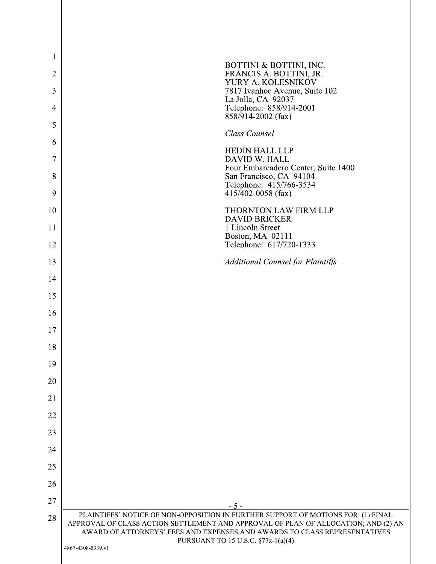| 1              | BOTTINI & BOTTINI, INC.                                                                                                                                                                               |
|----------------|-------------------------------------------------------------------------------------------------------------------------------------------------------------------------------------------------------|
| $\overline{2}$ | FRANCIS A. BOTTINI, JR.<br>YURY A. KOLESNIKÓV                                                                                                                                                         |
| 3              | 7817 Ivanhoe Avenue, Suite 102<br>La Jolla, CA 92037                                                                                                                                                  |
| 4              | Telephone: 858/914-2001<br>$858/914-2002$ (fax)                                                                                                                                                       |
| 5              | Class Counsel                                                                                                                                                                                         |
| 6              | <b>HEDIN HALL LLP</b>                                                                                                                                                                                 |
| 7              | DAVID W. HALL<br>Four Embarcadero Center, Suite 1400                                                                                                                                                  |
| 8<br>9         | San Francisco, CA 94104<br>Telephone: 415/766-3534<br>$415/\overline{402} - 0058$ (fax)                                                                                                               |
| 10             | THORNTON LAW FIRM LLP                                                                                                                                                                                 |
| 11             | <b>DAVID BRICKER</b><br>1 Lincoln Street<br>Boston, MA 02111                                                                                                                                          |
| 12             | Telephone: 617/720-1333                                                                                                                                                                               |
| 13             | <b>Additional Counsel for Plaintiffs</b>                                                                                                                                                              |
| 14             |                                                                                                                                                                                                       |
| 15             |                                                                                                                                                                                                       |
| 16             |                                                                                                                                                                                                       |
| 17             |                                                                                                                                                                                                       |
| 18             |                                                                                                                                                                                                       |
| 19             |                                                                                                                                                                                                       |
| 20             |                                                                                                                                                                                                       |
| 21             |                                                                                                                                                                                                       |
| 22             |                                                                                                                                                                                                       |
| 23             |                                                                                                                                                                                                       |
| 24             |                                                                                                                                                                                                       |
| 25             |                                                                                                                                                                                                       |
| 26             |                                                                                                                                                                                                       |
| 27             | $-5-$<br>PLAINTIFFS' NOTICE OF NON-OPPOSITION IN FURTHER SUPPORT OF MOTIONS FOR: (1) FINAL                                                                                                            |
| 28             | APPROVAL OF CLASS ACTION SETTLEMENT AND APPROVAL OF PLAN OF ALLOCATION; AND (2) AN<br>AWARD OF ATTORNEYS' FEES AND EXPENSES AND AWARDS TO CLASS REPRESENTATIVES<br>PURSUANT TO 15 U.S.C. §77z-1(a)(4) |
|                | 4867-4308-5339.v1                                                                                                                                                                                     |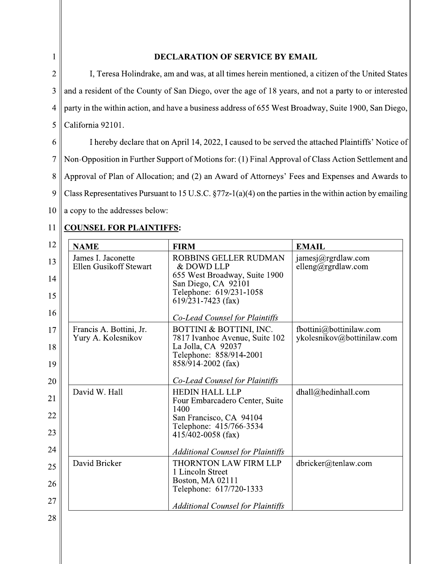## $\mathbf{1}$

## **DECLARATION OF SERVICE BY EMAIL**

 $\overline{2}$ I, Teresa Holindrake, am and was, at all times herein mentioned, a citizen of the United States and a resident of the County of San Diego, over the age of 18 years, and not a party to or interested  $\overline{3}$ party in the within action, and have a business address of 655 West Broadway, Suite 1900, San Diego,  $\overline{4}$ 5 California 92101.

6 I hereby declare that on April 14, 2022, I caused to be served the attached Plaintiffs' Notice of  $\overline{7}$ Non-Opposition in Further Support of Motions for: (1) Final Approval of Class Action Settlement and Approval of Plan of Allocation; and (2) an Award of Attorneys' Fees and Expenses and Awards to 8 9 Class Representatives Pursuant to 15 U.S.C.  $\S77z-1(a)(4)$  on the parties in the within action by emailing  $10\,$ a copy to the addresses below:

## **COUNSEL FOR PLAINTIFFS:** 11

| 12 | <b>NAME</b>                                   | <b>FIRM</b>                                                     | <b>EMAIL</b>                                          |
|----|-----------------------------------------------|-----------------------------------------------------------------|-------------------------------------------------------|
| 13 | James I. Jaconette<br>Ellen Gusikoff Stewart  | ROBBINS GELLER RUDMAN<br>& DOWD LLP                             | jamesj@rgrdlaw.com<br>elleng@rgrdlaw.com              |
| 14 |                                               | 655 West Broadway, Suite 1900<br>San Diego, CA 92101            |                                                       |
| 15 |                                               | Telephone: 619/231-1058<br>$619/231 - 7423$ (fax)               |                                                       |
| 16 |                                               | Co-Lead Counsel for Plaintiffs                                  |                                                       |
| 17 | Francis A. Bottini, Jr.<br>Yury A. Kolesnikov | BOTTINI & BOTTINI, INC.<br>7817 Ivanhoe Avenue, Suite 102       | fbottini@bottinilaw.com<br>ykolesnikov@bottinilaw.com |
| 18 |                                               | La Jolla, CA 92037<br>Telephone: 858/914-2001                   |                                                       |
| 19 |                                               | 858/914-2002 (fax)                                              |                                                       |
| 20 |                                               | Co-Lead Counsel for Plaintiffs                                  |                                                       |
| 21 | David W. Hall                                 | <b>HEDIN HALL LLP</b><br>Four Embarcadero Center, Suite<br>1400 | dhall@hedinhall.com                                   |
| 22 |                                               | San Francisco, CA 94104<br>Telephone: 415/766-3534              |                                                       |
| 23 |                                               | $415/402 - 0058$ (fax)                                          |                                                       |
| 24 |                                               | <b>Additional Counsel for Plaintiffs</b>                        |                                                       |
| 25 | David Bricker                                 | <b>THORNTON LAW FIRM LLP</b><br>1 Lincoln Street                | dbricker@tenlaw.com                                   |
| 26 |                                               | Boston, MA 02111<br>Telephone: 617/720-1333                     |                                                       |
| 27 |                                               | <b>Additional Counsel for Plaintiffs</b>                        |                                                       |
| 28 |                                               |                                                                 |                                                       |